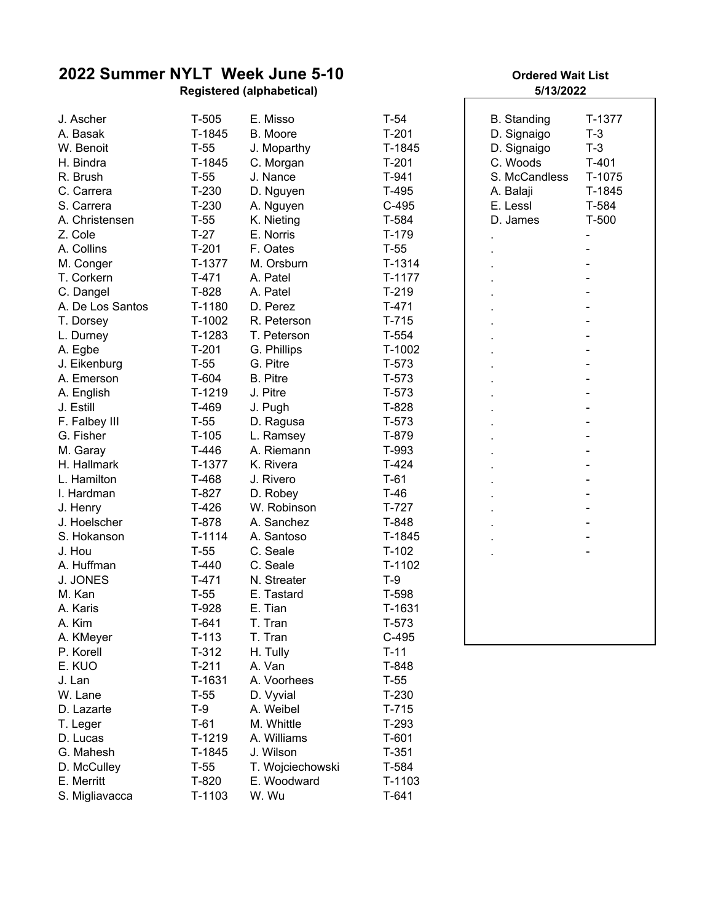## **2022 Summer NYLT Week June 5-10**

**Registered (alphabetical) 5/13/2022**

| J. Ascher        | $T-505$  | E. Misso         | $T-54$   | <b>B.</b> Standing | T-1377  |
|------------------|----------|------------------|----------|--------------------|---------|
| A. Basak         | T-1845   | B. Moore         | $T-201$  | D. Signaigo        | $T-3$   |
| W. Benoit        | $T-55$   | J. Moparthy      | T-1845   | D. Signaigo        | $T-3$   |
| H. Bindra        | T-1845   | C. Morgan        | $T-201$  | C. Woods           | $T-401$ |
| R. Brush         | $T-55$   | J. Nance         | $T-941$  | S. McCandless      | T-1075  |
| C. Carrera       | $T-230$  | D. Nguyen        | $T-495$  | A. Balaji          | T-1845  |
| S. Carrera       | $T-230$  | A. Nguyen        | $C-495$  | E. Lessl           | T-584   |
| A. Christensen   | $T-55$   | K. Nieting       | T-584    | D. James           | $T-500$ |
| Z. Cole          | $T-27$   | E. Norris        | $T-179$  |                    |         |
| A. Collins       | $T-201$  | F. Oates         | $T-55$   |                    |         |
| M. Conger        | T-1377   | M. Orsburn       | $T-1314$ |                    |         |
| T. Corkern       | $T-471$  | A. Patel         | $T-1177$ |                    |         |
| C. Dangel        | T-828    | A. Patel         | $T-219$  |                    |         |
| A. De Los Santos | T-1180   | D. Perez         | $T-471$  |                    |         |
| T. Dorsey        | $T-1002$ | R. Peterson      | $T-715$  |                    |         |
| L. Durney        | T-1283   | T. Peterson      | $T-554$  |                    |         |
| A. Egbe          | $T-201$  | G. Phillips      | T-1002   |                    |         |
| J. Eikenburg     | $T-55$   | G. Pitre         | $T-573$  |                    |         |
| A. Emerson       | T-604    | <b>B.</b> Pitre  | $T-573$  |                    |         |
| A. English       | T-1219   | J. Pitre         | $T-573$  |                    |         |
| J. Estill        | T-469    | J. Pugh          | T-828    |                    |         |
| F. Falbey III    | $T-55$   | D. Ragusa        | $T-573$  |                    |         |
| G. Fisher        | $T-105$  | L. Ramsey        | T-879    |                    |         |
| M. Garay         | $T-446$  | A. Riemann       | T-993    |                    |         |
| H. Hallmark      | T-1377   | K. Rivera        | $T-424$  |                    |         |
| L. Hamilton      | T-468    | J. Rivero        | $T-61$   |                    |         |
| I. Hardman       | T-827    | D. Robey         | $T-46$   |                    |         |
| J. Henry         | $T-426$  | W. Robinson      | $T-727$  |                    |         |
| J. Hoelscher     | T-878    | A. Sanchez       | T-848    |                    |         |
| S. Hokanson      | $T-1114$ | A. Santoso       | T-1845   |                    |         |
| J. Hou           | $T-55$   | C. Seale         | $T-102$  |                    |         |
| A. Huffman       | $T-440$  | C. Seale         | $T-1102$ |                    |         |
| J. JONES         | $T-471$  | N. Streater      | $T-9$    |                    |         |
| M. Kan           | $T-55$   | E. Tastard       | T-598    |                    |         |
| A. Karis         | T-928    | E. Tian          | T-1631   |                    |         |
| A. Kim           | T-641    | T. Tran          | T-573    |                    |         |
| A. KMeyer        | $T-113$  | T. Tran          | $C-495$  |                    |         |
| P. Korell        | $T-312$  | H. Tully         | $T-11$   |                    |         |
| E. KUO           | $T-211$  | A. Van           | T-848    |                    |         |
| J. Lan           | T-1631   | A. Voorhees      | $T-55$   |                    |         |
| W. Lane          | $T-55$   | D. Vyvial        | $T-230$  |                    |         |
| D. Lazarte       | T-9      | A. Weibel        | $T-715$  |                    |         |
| T. Leger         | $T-61$   | M. Whittle       | T-293    |                    |         |
| D. Lucas         | $T-1219$ | A. Williams      | $T-601$  |                    |         |
| G. Mahesh        | T-1845   | J. Wilson        | $T-351$  |                    |         |
| D. McCulley      | $T-55$   | T. Wojciechowski | T-584    |                    |         |
| E. Merritt       | T-820    | E. Woodward      | T-1103   |                    |         |
| S. Migliavacca   | T-1103   | W. Wu            | $T-641$  |                    |         |
|                  |          |                  |          |                    |         |

## **Ordered Wait List**

| <b>B.</b> Standing<br>D. Signaigo<br>D. Signaigo<br>C. Woods<br>S. McCandless<br>A. Balaji<br>E. Lessl<br>D. James | T-1377<br>$T-3$<br>$T-3$<br>$T-401$<br>T-1075<br>T-1845<br>T-584<br>$T-500$<br>$\overline{a}$<br>-<br>÷,<br>$\frac{1}{1}$<br>$\overline{a}$<br>$\frac{1}{1}$ |
|--------------------------------------------------------------------------------------------------------------------|--------------------------------------------------------------------------------------------------------------------------------------------------------------|
|                                                                                                                    |                                                                                                                                                              |
|                                                                                                                    |                                                                                                                                                              |
|                                                                                                                    |                                                                                                                                                              |
|                                                                                                                    |                                                                                                                                                              |
|                                                                                                                    |                                                                                                                                                              |
|                                                                                                                    |                                                                                                                                                              |
|                                                                                                                    |                                                                                                                                                              |
|                                                                                                                    |                                                                                                                                                              |
|                                                                                                                    |                                                                                                                                                              |
|                                                                                                                    |                                                                                                                                                              |